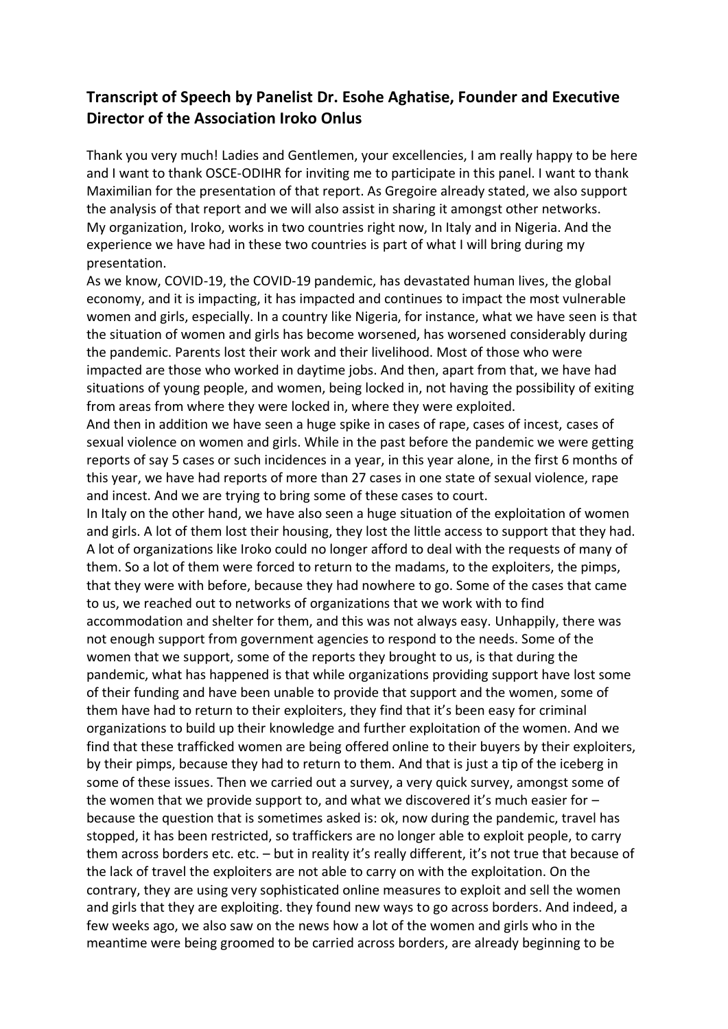## **Transcript of Speech by Panelist Dr. Esohe Aghatise, Founder and Executive Director of the Association Iroko Onlus**

Thank you very much! Ladies and Gentlemen, your excellencies, I am really happy to be here and I want to thank OSCE-ODIHR for inviting me to participate in this panel. I want to thank Maximilian for the presentation of that report. As Gregoire already stated, we also support the analysis of that report and we will also assist in sharing it amongst other networks. My organization, Iroko, works in two countries right now, In Italy and in Nigeria. And the experience we have had in these two countries is part of what I will bring during my presentation.

As we know, COVID-19, the COVID-19 pandemic, has devastated human lives, the global economy, and it is impacting, it has impacted and continues to impact the most vulnerable women and girls, especially. In a country like Nigeria, for instance, what we have seen is that the situation of women and girls has become worsened, has worsened considerably during the pandemic. Parents lost their work and their livelihood. Most of those who were impacted are those who worked in daytime jobs. And then, apart from that, we have had situations of young people, and women, being locked in, not having the possibility of exiting from areas from where they were locked in, where they were exploited.

And then in addition we have seen a huge spike in cases of rape, cases of incest, cases of sexual violence on women and girls. While in the past before the pandemic we were getting reports of say 5 cases or such incidences in a year, in this year alone, in the first 6 months of this year, we have had reports of more than 27 cases in one state of sexual violence, rape and incest. And we are trying to bring some of these cases to court.

In Italy on the other hand, we have also seen a huge situation of the exploitation of women and girls. A lot of them lost their housing, they lost the little access to support that they had. A lot of organizations like Iroko could no longer afford to deal with the requests of many of them. So a lot of them were forced to return to the madams, to the exploiters, the pimps, that they were with before, because they had nowhere to go. Some of the cases that came to us, we reached out to networks of organizations that we work with to find accommodation and shelter for them, and this was not always easy. Unhappily, there was not enough support from government agencies to respond to the needs. Some of the women that we support, some of the reports they brought to us, is that during the pandemic, what has happened is that while organizations providing support have lost some of their funding and have been unable to provide that support and the women, some of them have had to return to their exploiters, they find that it's been easy for criminal organizations to build up their knowledge and further exploitation of the women. And we find that these trafficked women are being offered online to their buyers by their exploiters, by their pimps, because they had to return to them. And that is just a tip of the iceberg in some of these issues. Then we carried out a survey, a very quick survey, amongst some of the women that we provide support to, and what we discovered it's much easier for – because the question that is sometimes asked is: ok, now during the pandemic, travel has stopped, it has been restricted, so traffickers are no longer able to exploit people, to carry them across borders etc. etc. – but in reality it's really different, it's not true that because of the lack of travel the exploiters are not able to carry on with the exploitation. On the contrary, they are using very sophisticated online measures to exploit and sell the women and girls that they are exploiting. they found new ways to go across borders. And indeed, a few weeks ago, we also saw on the news how a lot of the women and girls who in the meantime were being groomed to be carried across borders, are already beginning to be